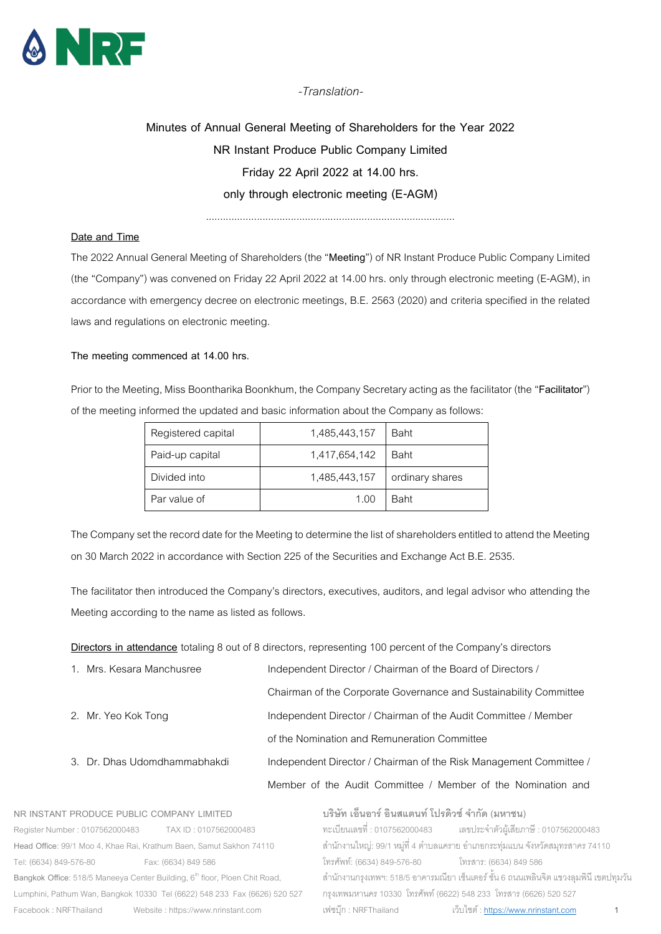

*-Translation-*

# **Minutes of Annual General Meeting of Shareholders for the Year 2022 NR Instant Produce Public Company Limited Friday 22 April 2022 at 14.00 hrs. only through electronic meeting (E-AGM)**

........................................................................................

# **Date and Time**

The 2022 Annual General Meeting of Shareholders (the "**Meeting**") of NR Instant Produce Public Company Limited (the "Company") was convened on Friday 22 April 2022at 14.00 hrs. only through electronic meeting (E-AGM), in accordance with emergency decree on electronic meetings, B.E. 2563 (2020) and criteria specified in the related laws and regulations on electronic meeting.

# **The meeting commenced at 14.00 hrs.**

Prior to the Meeting, Miss Boontharika Boonkhum, the Company Secretary acting as the facilitator (the "**Facilitator**") of the meeting informed the updated and basic information about the Company as follows:

| Registered capital | 1,485,443,157 | <b>Baht</b>     |
|--------------------|---------------|-----------------|
| Paid-up capital    | 1,417,654,142 | <b>Baht</b>     |
| Divided into       | 1,485,443,157 | ordinary shares |
| Par value of       | 1.00          | <b>Baht</b>     |

The Company set the record date for the Meeting to determine the list of shareholders entitled to attend the Meeting on 30 March 2022 in accordance with Section 225 of the Securities and Exchange Act B.E. 2535.

The facilitator then introduced the Company's directors, executives, auditors, and legal advisor who attending the Meeting according to the name as listed as follows.

**Directors in attendance** totaling 8 out of 8 directors, representing 100 percent of the Company's directors

| 1. Mrs. Kesara Manchusree    | Independent Director / Chairman of the Board of Directors /        |
|------------------------------|--------------------------------------------------------------------|
|                              | Chairman of the Corporate Governance and Sustainability Committee  |
| 2. Mr. Yeo Kok Tong          | Independent Director / Chairman of the Audit Committee / Member    |
|                              | of the Nomination and Remuneration Committee                       |
| 3. Dr. Dhas Udomdhammabhakdi | Independent Director / Chairman of the Risk Management Committee / |
|                              | Member of the Audit Committee / Member of the Nomination and       |
|                              |                                                                    |

**NR INSTANT PRODUCE PUBLIC COMPANY LIMITED**  Register Number : 0107562000483 TAX ID : 0107562000483 **Head Office**: 99/1 Moo 4, Khae Rai, Krathum Baen, Samut Sakhon 74110 Tel: (6634) 849-576-80 Fax: (6634) 849 586 Bangkok Office: 518/5 Maneeya Center Building, 6<sup>th</sup> floor, Ploen Chit Road, Lumphini, Pathum Wan, Bangkok 10330 Tel (6622) 548 233 Fax (6626) 520 527 Facebook : NRFThailand Website : https://www.nrinstant.com **บริษัท เอ็นอาร์อินสแตนท์โปรดิวซ์จํากัด (มหาชน)** ทะเบียนเลขที่ : 0107562000483 เลขประจ ำตัวผู้เสียภำษี : 0107562000483 ี สำนักงานใหญ่: 99/1 หมู่ที่ 4 ตำบลแคราย อำเภอกระทุ่มแบน จังหวัดสมุทรสาคร 74110 โทรศัพท์: (6634) 849-576-80 โทรสำร: (6634) 849 586 ส ำนักงำนกรุงเทพฯ: 518/5อำคำรมณียำ เซ็นเตอร์ ชั้น 6 ถนนเพลินจิต แขวงลุมพินี เขตปทุมวัน กรุงเทพมหำนคร 10330 โทรศัพท์(6622) 548 233 โทรสำร (6626) 520 527 เฟซบุ๊ก : NRFThailand เว็บไซต์ : <u>https://www.nrinstant.com</u> 1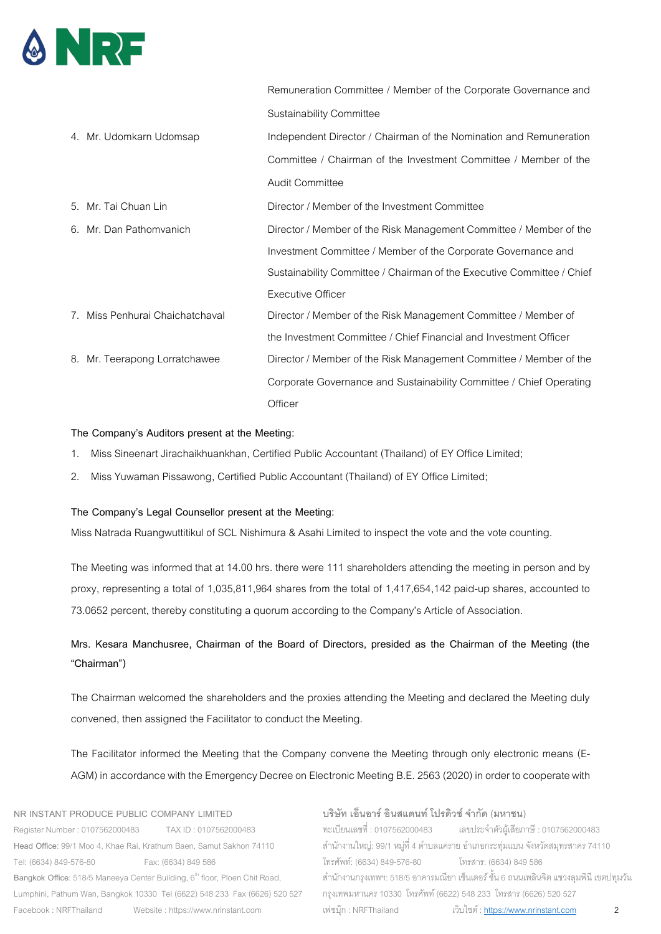

|                                  | Remuneration Committee / Member of the Corporate Governance and        |
|----------------------------------|------------------------------------------------------------------------|
|                                  | <b>Sustainability Committee</b>                                        |
| 4. Mr. Udomkarn Udomsap          | Independent Director / Chairman of the Nomination and Remuneration     |
|                                  | Committee / Chairman of the Investment Committee / Member of the       |
|                                  | <b>Audit Committee</b>                                                 |
| 5. Mr. Tai Chuan Lin             | Director / Member of the Investment Committee                          |
| 6. Mr. Dan Pathomyanich          | Director / Member of the Risk Management Committee / Member of the     |
|                                  | Investment Committee / Member of the Corporate Governance and          |
|                                  | Sustainability Committee / Chairman of the Executive Committee / Chief |
|                                  | <b>Executive Officer</b>                                               |
| 7. Miss Penhurai Chaichatchaval  | Director / Member of the Risk Management Committee / Member of         |
|                                  | the Investment Committee / Chief Financial and Investment Officer      |
| Mr. Teerapong Lorratchawee<br>8. | Director / Member of the Risk Management Committee / Member of the     |
|                                  | Corporate Governance and Sustainability Committee / Chief Operating    |
|                                  | Officer                                                                |

# **The Company's Auditors present at the Meeting:**

- 1. Miss Sineenart Jirachaikhuankhan, Certified Public Accountant (Thailand) of EY Office Limited;
- 2. Miss Yuwaman Pissawong, Certified Public Accountant (Thailand) of EY Office Limited;

# **The Company's Legal Counsellor present at the Meeting:**

Miss Natrada Ruangwuttitikul of SCL Nishimura & Asahi Limited to inspect the vote and the vote counting.

The Meeting was informed that at 14.00 hrs. there were 111 shareholders attending the meeting in person and by proxy, representing a total of 1,035,811,964 shares from the total of 1,417,654,142 paid-up shares, accounted to 73.0652 percent, thereby constituting a quorum according to the Company's Article of Association.

# **Mrs. Kesara Manchusree, Chairman of the Board of Directors, presided as the Chairman of the Meeting (the "Chairman")**

The Chairman welcomed the shareholders and the proxies attending the Meeting and declared the Meeting duly convened, then assigned the Facilitator to conduct the Meeting.

The Facilitator informed the Meeting that the Company convene the Meeting through only electronic means (E-AGM) in accordance with the Emergency Decree on Electronic Meeting B.E. 2563(2020) in order to cooperate with

**NR INSTANT PRODUCE PUBLIC COMPANY LIMITED**  Register Number : 0107562000483 TAX ID : 0107562000483 **Head Office**: 99/1 Moo 4, Khae Rai, Krathum Baen, Samut Sakhon 74110 Tel: (6634) 849-576-80 Fax: (6634) 849 586 Bangkok Office: 518/5 Maneeya Center Building, 6<sup>th</sup> floor, Ploen Chit Road, Lumphini, Pathum Wan, Bangkok 10330 Tel (6622) 548 233 Fax (6626) 520 527 Facebook : NRFThailand Website : https://www.nrinstant.com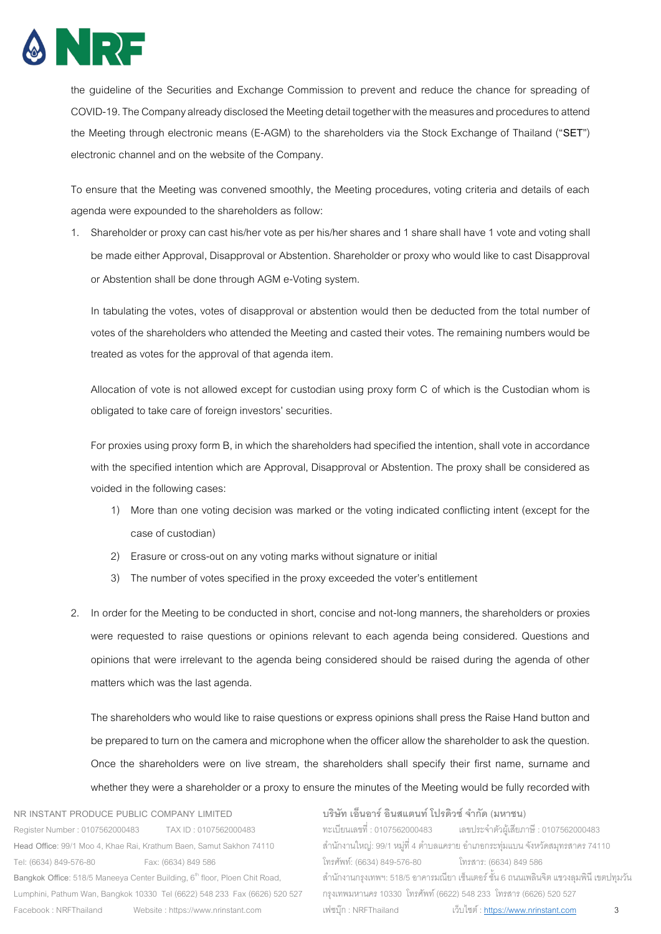

the guideline of the Securities and Exchange Commission to prevent and reduce the chance for spreading of COVID-19.The Company already disclosed the Meeting detail together with the measures and procedures to attend the Meeting through electronic means (E-AGM) to the shareholders via the Stock Exchange of Thailand ("**SET**") electronic channel and on the website of the Company.

To ensure that the Meeting was convened smoothly, the Meeting procedures, voting criteria and details of each agenda were expounded to the shareholders as follow:

1. Shareholder or proxy can cast his/her vote as per his/her shares and 1 share shall have 1 vote and voting shall be made either Approval, Disapproval or Abstention. Shareholder or proxy who would like to cast Disapproval or Abstention shall be done through AGM e-Voting system.

In tabulating the votes, votes of disapproval or abstention would then be deducted from the total number of votes of the shareholders who attended the Meeting and casted their votes. The remaining numbers would be treated as votes for the approval of that agenda item.

Allocation of vote is not allowed except for custodian using proxy form C of which is the Custodian whom is obligated to take care of foreign investors' securities.

For proxies using proxy form B, in which the shareholders had specified the intention, shall vote in accordance with the specified intention which are Approval, Disapproval or Abstention. The proxy shall be considered as voided in the following cases:

- 1) More than one voting decision was marked or the voting indicated conflicting intent (except for the case of custodian)
- 2) Erasure or cross-out on any voting marks without signature or initial
- 3) The number of votes specified in the proxy exceeded the voter's entitlement
- 2. In order for the Meeting to be conducted in short, concise and not-long manners, the shareholders or proxies were requested to raise questions or opinions relevant to each agenda being considered. Questions and opinions that were irrelevant to the agenda being considered should be raised during the agenda of other matters which was the last agenda.

The shareholders who would like to raise questions or express opinions shall press the Raise Hand button and be prepared to turn on the camera and microphone when the officer allow the shareholder to ask the question. Once the shareholders were on live stream, the shareholders shall specify their first name, surname and whether they were a shareholder or a proxy to ensure the minutes of the Meeting would be fully recorded with

**NR INSTANT PRODUCE PUBLIC COMPANY LIMITED**  Register Number : 0107562000483 TAX ID : 0107562000483 **Head Office**: 99/1 Moo 4, Khae Rai, Krathum Baen, Samut Sakhon 74110 Tel: (6634) 849-576-80 Fax: (6634) 849 586 Bangkok Office: 518/5 Maneeya Center Building, 6<sup>th</sup> floor, Ploen Chit Road, Lumphini, Pathum Wan, Bangkok 10330 Tel (6622) 548 233 Fax (6626) 520 527 Facebook : NRFThailand Website : https://www.nrinstant.com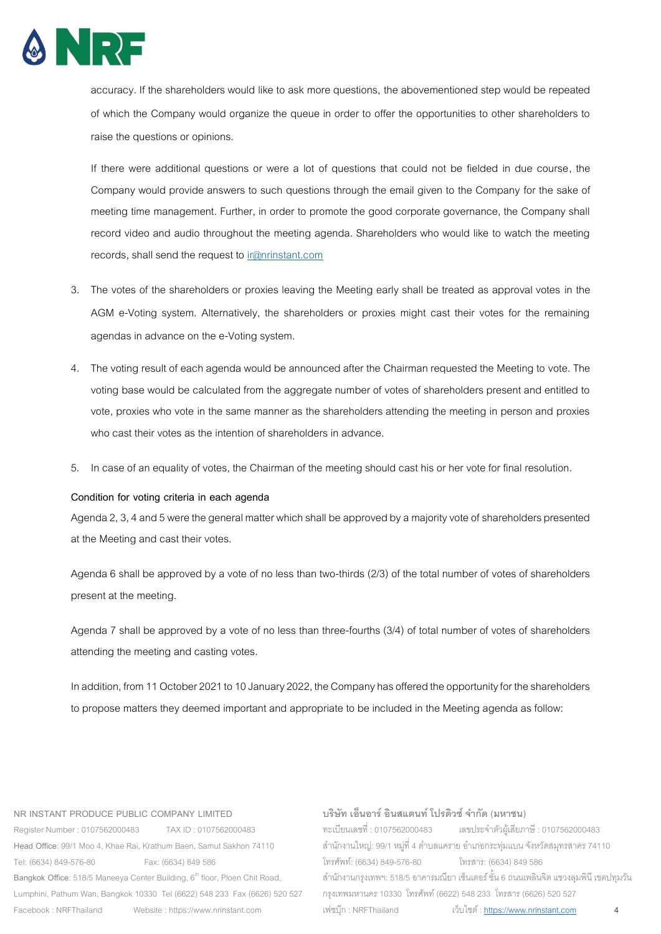

accuracy. If the shareholders would like to ask more questions, the abovementioned step would be repeated of which the Company would organize the queue in order to offer the opportunities to other shareholders to raise the questions or opinions.

If there were additional questions or were a lot of questions that could not be fielded in due course, the Company would provide answers to such questions through the email given to the Company for the sake of meeting time management. Further, in order to promote the good corporate governance, the Company shall record video and audio throughout the meeting agenda. Shareholders who would like to watch the meeting records, shall send the request t[o ir@nrinstant.com](mailto:ir@nrinstant.com)

- 3. The votes of the shareholders or proxies leaving the Meeting early shall be treated as approval votes in the AGM e-Voting system. Alternatively, the shareholders or proxies might cast their votes for the remaining agendas in advance on the e-Voting system.
- 4. The voting result of each agenda would be announced after the Chairman requested the Meeting to vote. The voting base would be calculated from the aggregate number of votes of shareholders present and entitled to vote, proxies who vote in the same manner as the shareholders attending the meeting in person and proxies who cast their votes as the intention of shareholders in advance.
- 5. In case of an equality of votes, the Chairman of the meeting should cast his or her vote for final resolution.

# **Condition for voting criteria in each agenda**

Agenda 2,3,4and 5 were the general matter which shall be approved by a majority vote of shareholders presented at the Meeting and cast their votes.

Agenda 6 shall be approved by a vote of no less than two-thirds (2/3) of the total number of votes of shareholders present at the meeting.

Agenda 7 shall be approved by a vote of no less than three-fourths (3/4) of total number of votes of shareholders attending the meeting and casting votes.

In addition, from 11 October 2021 to 10 January 2022, the Company has offered the opportunity for the shareholders to propose matters they deemed important and appropriate to be included in the Meeting agenda as follow:

#### **NR INSTANT PRODUCE PUBLIC COMPANY LIMITED**

Register Number : 0107562000483 TAX ID : 0107562000483 **Head Office**: 99/1 Moo 4, Khae Rai, Krathum Baen, Samut Sakhon 74110 Tel: (6634) 849-576-80 Fax: (6634) 849 586 Bangkok Office: 518/5 Maneeya Center Building, 6<sup>th</sup> floor, Ploen Chit Road, Lumphini, Pathum Wan, Bangkok 10330 Tel (6622) 548 233 Fax (6626) 520 527 Facebook : NRFThailand Website : https://www.nrinstant.com

# **บริษัท เอ็นอาร์อินสแตนท์โปรดิวซ์จํากัด (มหาชน)**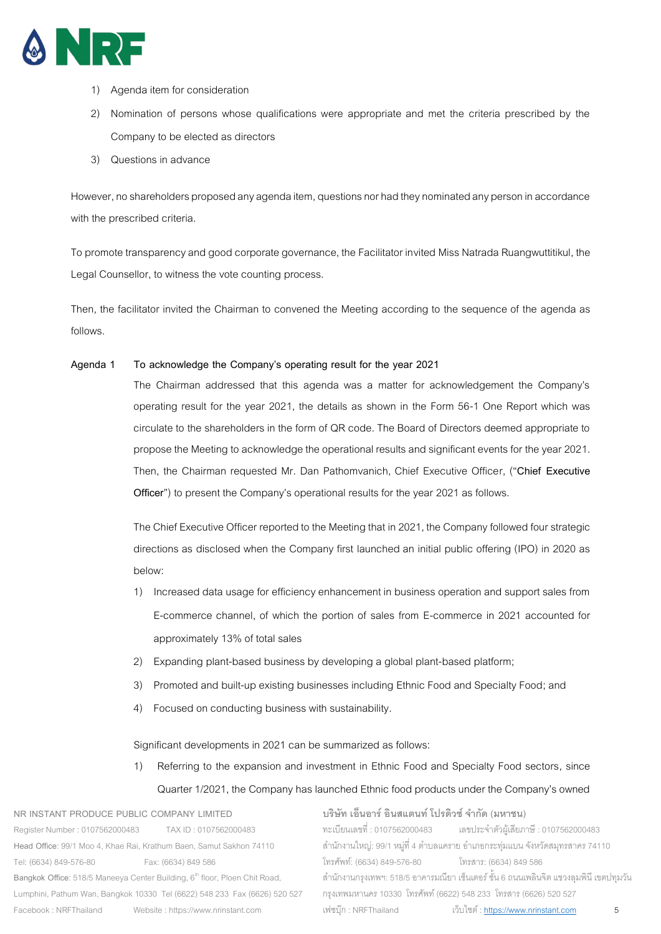

- 1) Agenda item for consideration
- 2) Nomination of persons whose qualifications were appropriate and met the criteria prescribed by the Company to be elected as directors
- 3) Questions in advance

However, no shareholders proposed any agenda item, questions nor had they nominated any person in accordance with the prescribed criteria.

To promote transparency and good corporate governance, the Facilitator invited Miss Natrada Ruangwuttitikul, the Legal Counsellor, to witness the vote counting process.

Then, the facilitator invited the Chairman to convened the Meeting according to the sequence of the agenda as follows.

# **Agenda 1 To acknowledge the Company's operating result for the year 2021**

The Chairman addressed that this agenda was a matter for acknowledgement the Company's operating result for the year 2021, the details as shown in the Form 56-1 One Report which was circulate to the shareholders in the form of QR code. The Board of Directors deemed appropriate to propose the Meeting to acknowledge the operational results and significant events for the year 2021. Then, the Chairman requested Mr. Dan Pathomvanich, Chief Executive Officer, ("**Chief Executive**  Officer") to present the Company's operational results for the year 2021 as follows.

The Chief Executive Officer reported to the Meeting that in 2021, the Companyfollowed fourstrategic directions as disclosed when the Company first launched an initial public offering (IPO) in 2020 as below:

- 1) Increased data usage for efficiency enhancement in business operation and support sales from E-commerce channel, of which the portion of sales from E-commerce in 2021 accounted for approximately 13% of total sales
- 2) Expanding plant-based business by developing a global plant-based platform;
- 3) Promoted and built-up existing businesses including Ethnic Food and Specialty Food; and
- 4) Focused on conducting business with sustainability.

Significant developments in 2021 can be summarized as follows:

1) Referring to the expansion and investment in Ethnic Food and Specialty Food sectors, since Quarter 1/2021, the Company has launched Ethnic food products under the Company's owned

**NR INSTANT PRODUCE PUBLIC COMPANY LIMITED**  Register Number : 0107562000483 TAX ID : 0107562000483 **Head Office**: 99/1 Moo 4, Khae Rai, Krathum Baen, Samut Sakhon 74110 Tel: (6634) 849-576-80 Fax: (6634) 849 586 Bangkok Office: 518/5 Maneeya Center Building, 6<sup>th</sup> floor, Ploen Chit Road, Lumphini, Pathum Wan, Bangkok 10330 Tel (6622) 548 233 Fax (6626) 520 527 Facebook : NRFThailand Website : https://www.nrinstant.com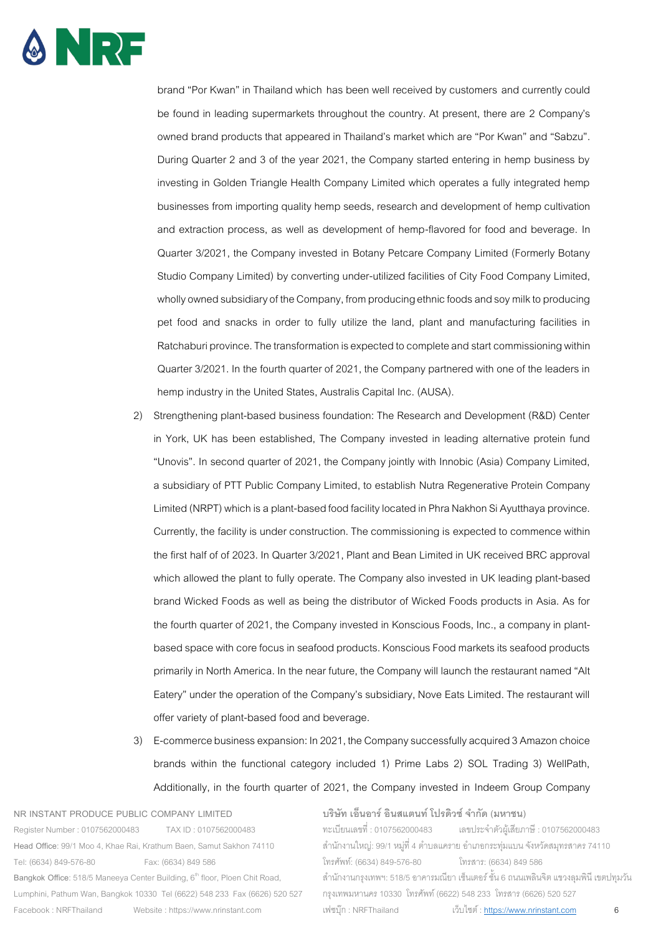

brand "Por Kwan" in Thailand which has been well received by customers and currently could be found in leading supermarkets throughout the country. At present, there are 2 Company's owned brand products that appeared in Thailand's market which are "Por Kwan" and "Sabzu". During Quarter 2 and 3 of the year 2021, the Company started entering in hemp business by investing in Golden Triangle Health Company Limited which operates a fully integrated hemp businesses from importing quality hemp seeds, research and development of hemp cultivation and extraction process, as well as development of hemp-flavored for food and beverage. In Quarter 3/2021, the Company invested in Botany Petcare Company Limited (Formerly Botany Studio Company Limited) by converting under-utilized facilities of City Food Company Limited, wholly owned subsidiary of the Company, from producing ethnic foods and soy milk to producing pet food and snacks in order to fully utilize the land, plant and manufacturing facilities in Ratchaburi province.The transformation is expected to complete and start commissioning within Quarter 3/2021. In the fourth quarter of 2021, the Company partnered with one of the leaders in hemp industry in the United States, Australis Capital Inc. (AUSA).

- 2) Strengthening plant-based business foundation: The Research and Development (R&D) Center in York, UK has been established, The Company invested in leading alternative protein fund "Unovis". In second quarter of 2021, the Company jointly with Innobic (Asia) Company Limited, a subsidiary of PTT Public Company Limited, to establish Nutra Regenerative Protein Company Limited (NRPT) which is a plant-based food facility located in Phra Nakhon Si Ayutthaya province. Currently, the facility is under construction. The commissioning is expected to commence within the first half of of 2023. In Quarter 3/2021, Plant and Bean Limited in UK received BRC approval which allowed the plant to fully operate. The Company also invested in UK leading plant-based brand Wicked Foods as well as being the distributor of Wicked Foods products in Asia. As for the fourth quarter of 2021, the Company invested in Konscious Foods, Inc., a company in plantbased space with core focus in seafood products. Konscious Food markets its seafood products primarily in North America. In the near future, the Company will launch the restaurant named "Alt Eatery" under the operation of the Company's subsidiary, Nove Eats Limited. The restaurant will offer variety of plant-based food and beverage.
- 3) E-commerce business expansion: In 2021, the Company successfully acquired 3 Amazon choice brands within the functional category included 1) Prime Labs 2) SOL Trading 3) WellPath, Additionally, in the fourth quarter of 2021, the Company invested in Indeem Group Company

**NR INSTANT PRODUCE PUBLIC COMPANY LIMITED**  Register Number : 0107562000483 TAX ID : 0107562000483 **Head Office**: 99/1 Moo 4, Khae Rai, Krathum Baen, Samut Sakhon 74110 Tel: (6634) 849-576-80 Fax: (6634) 849 586 Bangkok Office: 518/5 Maneeya Center Building, 6<sup>th</sup> floor, Ploen Chit Road, Lumphini, Pathum Wan, Bangkok 10330 Tel (6622) 548 233 Fax (6626) 520 527 Facebook : NRFThailand Website : https://www.nrinstant.com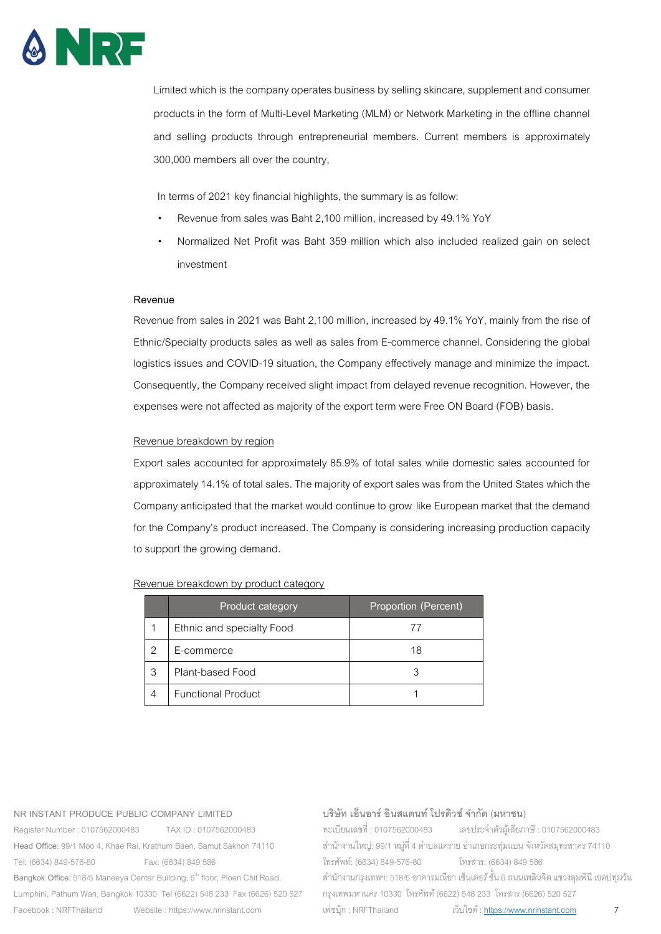

Limited which is the company operates business by selling skincare, supplement and consumer products in the form of Multi-Level Marketing (MLM) or Network Marketing in the offline channel and selling products through entrepreneurial members. Current members is approximately 300,000 members all over the country,

In terms of 2021 key financial highlights, the summary is as follow:

- Revenue from sales was Baht 2,100 million, increased by 49.1% YoY
- Normalized Net Profit was Baht 359 million which also included realized gain on select investment

# **Revenue**

Revenue from sales in 2021 was Baht 2,100 million, increased by 49.1% YoY, mainly from the rise of Ethnic/Specialty products sales as well as sales from E-commerce channel. Considering the global logistics issues and COVID-19 situation, the Company effectively manage and minimize the impact. Consequently, the Company received slight impact from delayed revenue recognition. However, the expenses were not affected as majority of the export term were Free ON Board (FOB) basis.

# Revenue breakdown by region

Export sales accounted for approximately 85.9% of total sales while domestic sales accounted for approximately 14.1% of total sales. The majority of export sales was from the United States which the Company anticipated that the market would continue to grow like European market that the demand for the Company's product increased. The Company is considering increasing production capacity to support the growing demand.

# Revenue breakdown by product category

|   | Product category          | Proportion (Percent) |
|---|---------------------------|----------------------|
|   | Ethnic and specialty Food |                      |
|   | E-commerce                | 18                   |
| 3 | Plant-based Food          |                      |
|   | <b>Functional Product</b> |                      |

#### **NR INSTANT PRODUCE PUBLIC COMPANY LIMITED**

Register Number : 0107562000483 TAX ID : 0107562000483 **Head Office**: 99/1 Moo 4, Khae Rai, Krathum Baen, Samut Sakhon 74110 Tel: (6634) 849-576-80 Fax: (6634) 849 586 Bangkok Office: 518/5 Maneeya Center Building, 6<sup>th</sup> floor, Ploen Chit Road, Lumphini, Pathum Wan, Bangkok 10330 Tel (6622) 548 233 Fax (6626) 520 527 Facebook : NRFThailand Website : https://www.nrinstant.com

# **บริษัท เอ็นอาร์อินสแตนท์โปรดิวซ์จํากัด (มหาชน)**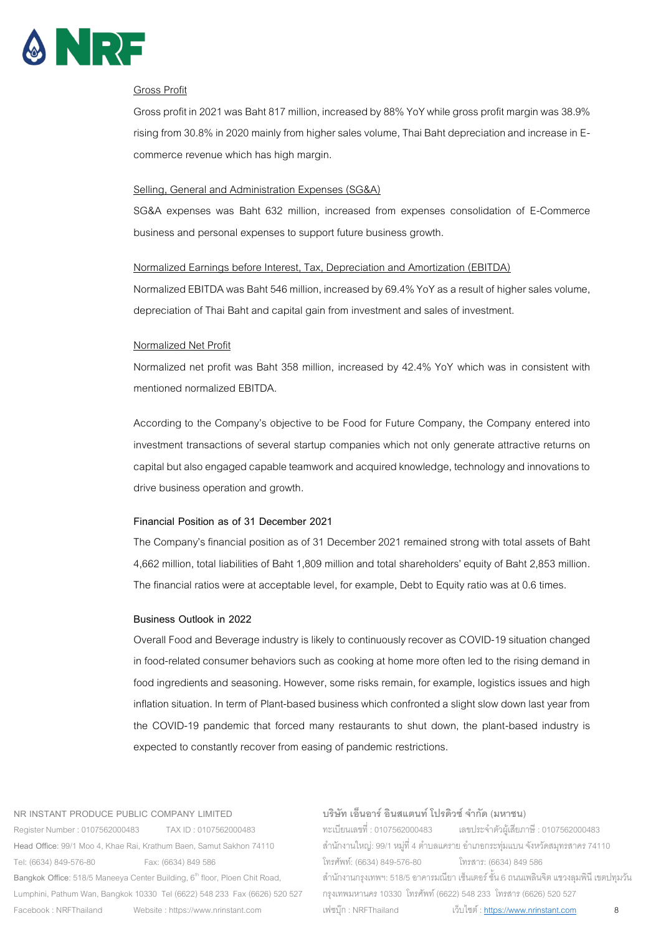

# Gross Profit

Gross profit in 2021 was Baht 817 million, increased by 88% YoY while gross profit margin was 38.9% rising from 30.8% in 2020 mainly from higher sales volume, Thai Baht depreciation and increase in Ecommerce revenue which has high margin.

#### Selling, General and Administration Expenses (SG&A)

SG&A expenses was Baht 632 million, increased from expenses consolidation of E-Commerce business and personal expenses to support future business growth.

# Normalized Earnings before Interest, Tax, Depreciation and Amortization (EBITDA)

Normalized EBITDA was Baht 546 million, increased by 69.4% YoY as a result of higher sales volume, depreciation of Thai Baht and capital gain from investment and sales of investment.

#### Normalized Net Profit

Normalized net profit was Baht 358 million, increased by 42.4% YoY which was in consistent with mentioned normalized EBITDA.

According to the Company's objective to be Food for Future Company, the Company entered into investment transactions of several startup companies which not only generate attractive returns on capital but also engaged capable teamwork and acquired knowledge, technology and innovations to drive business operation and growth.

#### **Financial Position as of 31 December 2021**

The Company's financial position as of 31 December 2021 remained strong with total assets of Baht 4,662 million, total liabilities of Baht 1,809 million and total shareholders' equity of Baht 2,853 million. The financial ratios were at acceptable level, for example, Debt to Equity ratio was at 0.6 times.

#### **Business Outlook in 2022**

Overall Food and Beverage industry is likely to continuously recover as COVID-19 situation changed in food-related consumer behaviors such as cooking at home more often led to the rising demand in food ingredients and seasoning. However, some risks remain, for example, logistics issues and high inflation situation. In term of Plant-based business which confronted a slight slow down last year from the COVID-19 pandemic that forced many restaurants to shut down, the plant-based industry is expected to constantly recover from easing of pandemic restrictions.

#### **NR INSTANT PRODUCE PUBLIC COMPANY LIMITED**

Register Number : 0107562000483 TAX ID : 0107562000483 **Head Office**: 99/1 Moo 4, Khae Rai, Krathum Baen, Samut Sakhon 74110 Tel: (6634) 849-576-80 Fax: (6634) 849 586 Bangkok Office: 518/5 Maneeya Center Building, 6<sup>th</sup> floor, Ploen Chit Road, Lumphini, Pathum Wan, Bangkok 10330 Tel (6622) 548 233 Fax (6626) 520 527 Facebook : NRFThailand Website : https://www.nrinstant.com

#### **บริษัท เอ็นอาร์อินสแตนท์โปรดิวซ์จํากัด (มหาชน)**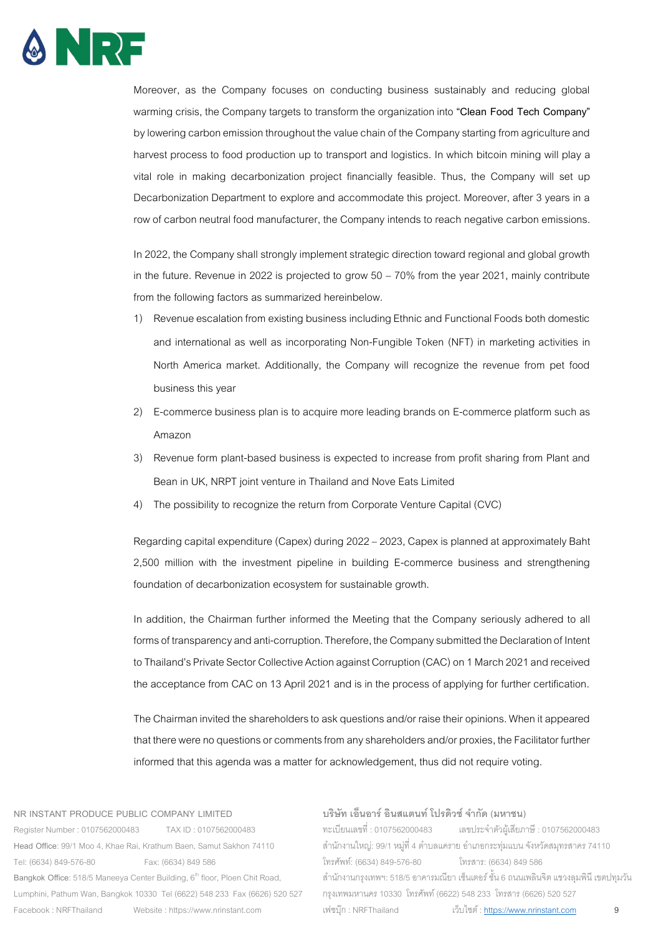

Moreover, as the Company focuses on conducting business sustainably and reducing global warming crisis, the Company targets to transform the organization into **"Clean Food Tech Company"**  bylowering carbon emission throughout the value chain of the Company starting from agriculture and harvest process to food production up to transport and logistics. In which bitcoin mining will play a vital role in making decarbonization project financially feasible. Thus, the Company will set up Decarbonization Department to explore and accommodate this project. Moreover, after 3 years in a row of carbon neutral food manufacturer, the Company intends to reach negative carbon emissions.

In 2022, the Company shall strongly implement strategic direction toward regional and global growth in the future. Revenue in 2022 is projected to grow 50 – 70% from the year 2021, mainly contribute from the following factors as summarized hereinbelow.

- 1) Revenue escalation from existing business including Ethnic and Functional Foods both domestic and international as well as incorporating Non-Fungible Token (NFT) in marketing activities in North America market. Additionally, the Company will recognize the revenue from pet food business this year
- 2) E-commerce business plan is to acquire more leading brands on E-commerce platform such as Amazon
- 3) Revenue form plant-based business is expected to increase from profit sharing from Plant and Bean in UK, NRPT joint venture in Thailand and Nove Eats Limited
- 4) The possibility to recognize the return from Corporate Venture Capital (CVC)

Regarding capital expenditure (Capex) during 2022 –2023, Capex is planned at approximately Baht 2,500 million with the investment pipeline in building E-commerce business and strengthening foundation of decarbonization ecosystem for sustainable growth.

In addition, the Chairman further informed the Meeting that the Company seriously adhered to all forms of transparency and anti-corruption. Therefore, the Company submitted the Declaration of Intent to Thailand's Private Sector Collective Action against Corruption (CAC) on 1 March 2021 and received the acceptance from CAC on 13 April 2021 and is in the process of applying for further certification.

The Chairman invited the shareholders to ask questions and/or raise their opinions. When it appeared that there were no questions or comments from any shareholders and/or proxies, the Facilitator further informed that this agenda was a matter for acknowledgement, thus did not require voting.

#### **NR INSTANT PRODUCE PUBLIC COMPANY LIMITED**

Register Number : 0107562000483 TAX ID : 0107562000483 **Head Office**: 99/1 Moo 4, Khae Rai, Krathum Baen, Samut Sakhon 74110 Tel: (6634) 849-576-80 Fax: (6634) 849 586 Bangkok Office: 518/5 Maneeya Center Building, 6<sup>th</sup> floor, Ploen Chit Road, Lumphini, Pathum Wan, Bangkok 10330 Tel (6622) 548 233 Fax (6626) 520 527 Facebook : NRFThailand Website : https://www.nrinstant.com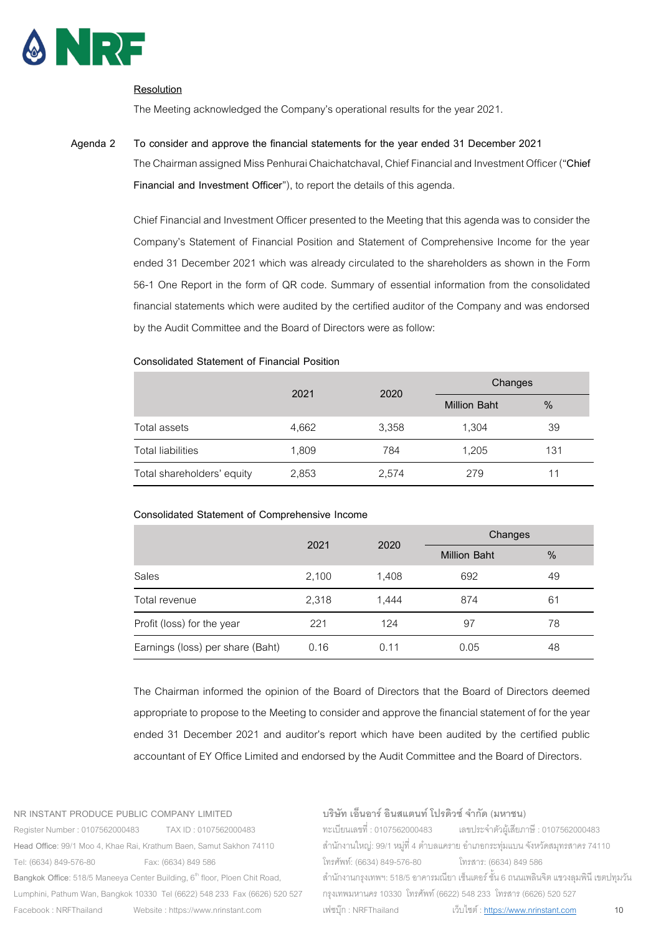

# **Resolution**

The Meeting acknowledged the Company's operational results for the year 2021.

# **Agenda 2 To consider and approve the financial statements for the year ended 31 December 2021**

The Chairman assigned Miss Penhurai Chaichatchaval, Chief Financial and Investment Officer ("**Chief Financial and Investment Officer**"), to report the details of this agenda.

Chief Financial and Investment Officer presented to the Meeting that this agenda was to consider the Company's Statement of Financial Position and Statement of Comprehensive Income for the year ended 31 December 2021 which was already circulated to the shareholders as shown in the Form 56-1 One Report in the form of QR code. Summary of essential information from the consolidated financial statements which were audited by the certified auditor of the Company and was endorsed by the Audit Committee and the Board of Directors were as follow:

# **Consolidated Statement of Financial Position**

|                            | 2021  | 2020  |                     | Changes |  |
|----------------------------|-------|-------|---------------------|---------|--|
|                            |       |       | <b>Million Baht</b> | $\%$    |  |
| Total assets               | 4,662 | 3,358 | 1,304               | 39      |  |
| <b>Total liabilities</b>   | 1,809 | 784   | 1,205               | 131     |  |
| Total shareholders' equity | 2,853 | 2,574 | 279                 | 11      |  |

# **Consolidated Statement of Comprehensive Income**

|                                  |       | 2020  | Changes             |               |
|----------------------------------|-------|-------|---------------------|---------------|
|                                  | 2021  |       | <b>Million Baht</b> | $\frac{0}{0}$ |
| Sales                            | 2,100 | 1,408 | 692                 | 49            |
| Total revenue                    | 2,318 | 1.444 | 874                 | 61            |
| Profit (loss) for the year       | 221   | 124   | 97                  | 78            |
| Earnings (loss) per share (Baht) | 0.16  | 0.11  | 0.05                | 48            |

The Chairman informed the opinion of the Board of Directors that the Board of Directors deemed appropriate to propose to the Meeting to consider and approve the financial statement of for the year ended 31 December 2021 and auditor's report which have been audited by the certified public accountant of EY Office Limited and endorsed by the Audit Committee and the Board of Directors.

#### **NR INSTANT PRODUCE PUBLIC COMPANY LIMITED**

Register Number : 0107562000483 TAX ID : 0107562000483 **Head Office**: 99/1 Moo 4, Khae Rai, Krathum Baen, Samut Sakhon 74110 Tel: (6634) 849-576-80 Fax: (6634) 849 586 Bangkok Office: 518/5 Maneeya Center Building, 6<sup>th</sup> floor, Ploen Chit Road, Lumphini, Pathum Wan, Bangkok 10330 Tel (6622) 548 233 Fax (6626) 520 527 Facebook : NRFThailand Website : https://www.nrinstant.com

# **บริษัท เอ็นอาร์อินสแตนท์โปรดิวซ์จํากัด (มหาชน)**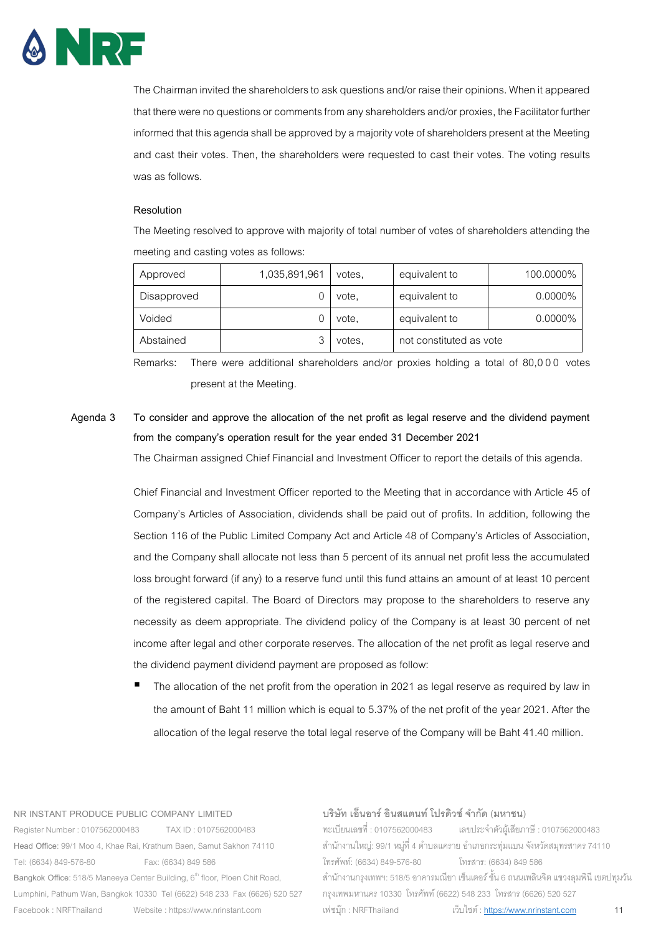

The Chairman invited the shareholders to ask questions and/or raise their opinions. When it appeared that there were no questions or comments from any shareholders and/or proxies, the Facilitator further informed that this agenda shall be approved by a majority vote of shareholders present at the Meeting and cast their votes. Then, the shareholders were requested to cast their votes. The voting results was as follows.

#### **Resolution**

The Meeting resolved to approve with majority of total number of votes of shareholders attending the meeting and casting votes as follows:

| Approved    | 1,035,891,961 | votes, | equivalent to           | 100.0000%  |
|-------------|---------------|--------|-------------------------|------------|
| Disapproved |               | vote,  | equivalent to           | $0.0000\%$ |
| Voided      |               | vote.  | equivalent to           | $0.0000\%$ |
| Abstained   |               | votes. | not constituted as vote |            |

Remarks: There were additional shareholders and/or proxies holding a total of 80,000 votes present at the Meeting.

# **Agenda 3 To consider and approve the allocation of the net profit as legal reserve and the dividend payment from the company's operation result for the year ended 31 December 2021**

The Chairman assigned Chief Financial and Investment Officer to report the details of this agenda.

Chief Financial and Investment Officer reported to the Meeting that in accordance with Article 45 of Company's Articles of Association, dividends shall be paid out of profits. In addition, following the Section 116 of the Public Limited Company Act and Article 48 of Company's Articles of Association, and the Company shall allocate not less than 5 percent of its annual net profit less the accumulated loss brought forward (if any) to a reserve fund until this fund attains an amount of at least 10 percent of the registered capital. The Board of Directors may propose to the shareholders to reserve any necessity as deem appropriate. The dividend policy of the Company is at least 30 percent of net income after legal and other corporate reserves. The allocation of the net profit as legal reserve and the dividend payment dividend payment are proposed as follow:

The allocation of the net profit from the operation in 2021 as legal reserve as required by law in the amount of Baht 11 million which is equal to 5.37% of the net profit of the year 2021. After the allocation of the legal reserve the total legal reserve of the Company will be Baht 41.40 million.

#### **NR INSTANT PRODUCE PUBLIC COMPANY LIMITED**

Register Number : 0107562000483 TAX ID : 0107562000483 **Head Office**: 99/1 Moo 4, Khae Rai, Krathum Baen, Samut Sakhon 74110 Tel: (6634) 849-576-80 Fax: (6634) 849 586 Bangkok Office: 518/5 Maneeya Center Building, 6<sup>th</sup> floor, Ploen Chit Road, Lumphini, Pathum Wan, Bangkok 10330 Tel (6622) 548 233 Fax (6626) 520 527 Facebook : NRFThailand Website : https://www.nrinstant.com

#### **บริษัท เอ็นอาร์อินสแตนท์โปรดิวซ์จํากัด (มหาชน)**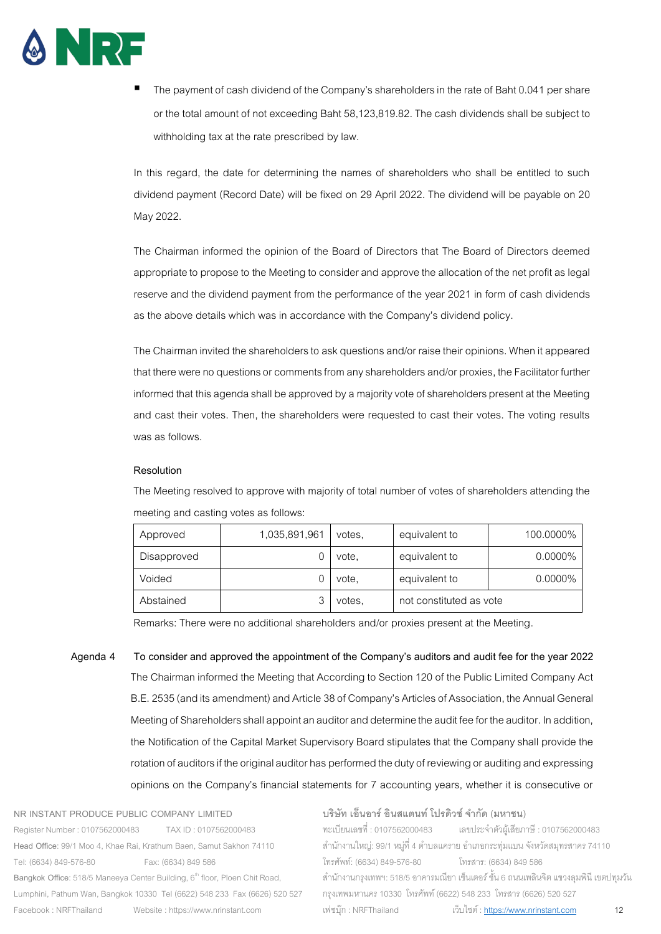

The payment of cash dividend of the Company's shareholders in the rate of Baht 0.041 per share or the total amount of not exceeding Baht 58,123,819.82.The cash dividends shall be subject to withholding tax at the rate prescribed by law.

In this regard, the date for determining the names of shareholders who shall be entitled to such dividend payment (Record Date) will be fixed on 29 April 2022. The dividend will be payable on 20 May 2022.

The Chairman informed the opinion of the Board of Directors that The Board of Directors deemed appropriate to propose to the Meeting to consider and approve the allocation of the net profit as legal reserve and the dividend payment from the performance of the year 2021 in form of cash dividends as the above details which was in accordance with the Company's dividend policy.

The Chairman invited the shareholders to ask questions and/or raise their opinions. When it appeared that there were no questions or comments from any shareholders and/or proxies, the Facilitator further informed that this agenda shall be approved by a majority vote of shareholders present at the Meeting and cast their votes. Then, the shareholders were requested to cast their votes. The voting results was as follows.

# **Resolution**

The Meeting resolved to approve with majority of total number of votes of shareholders attending the meeting and casting votes as follows:

| Approved    | 1,035,891,961 | votes, | equivalent to           | 100.0000%  |
|-------------|---------------|--------|-------------------------|------------|
| Disapproved |               | vote.  | equivalent to           | $0.0000\%$ |
| Voided      |               | vote,  | equivalent to           | $0.0000\%$ |
| Abstained   |               | votes. | not constituted as vote |            |

Remarks: There were no additional shareholders and/or proxies present at the Meeting.

**Agenda 4 To consider and approved the appointment of the Company's auditors and audit fee for the year 2022** The Chairman informed the Meeting that According to Section 120 of the Public Limited Company Act B.E. 2535 (and its amendment) and Article 38 of Company's Articles of Association, the Annual General Meeting of Shareholders shall appoint an auditor and determine the audit fee for the auditor. In addition, the Notification of the Capital Market Supervisory Board stipulates that the Company shall provide the rotation of auditors if the original auditor has performed the duty of reviewing or auditing and expressing opinions on the Company's financial statements for 7 accounting years, whether it is consecutive or

**NR INSTANT PRODUCE PUBLIC COMPANY LIMITED**  Register Number : 0107562000483 TAX ID : 0107562000483 **Head Office**: 99/1 Moo 4, Khae Rai, Krathum Baen, Samut Sakhon 74110 Tel: (6634) 849-576-80 Fax: (6634) 849 586 Bangkok Office: 518/5 Maneeya Center Building, 6<sup>th</sup> floor, Ploen Chit Road, Lumphini, Pathum Wan, Bangkok 10330 Tel (6622) 548 233 Fax (6626) 520 527 Facebook : NRFThailand Website : https://www.nrinstant.com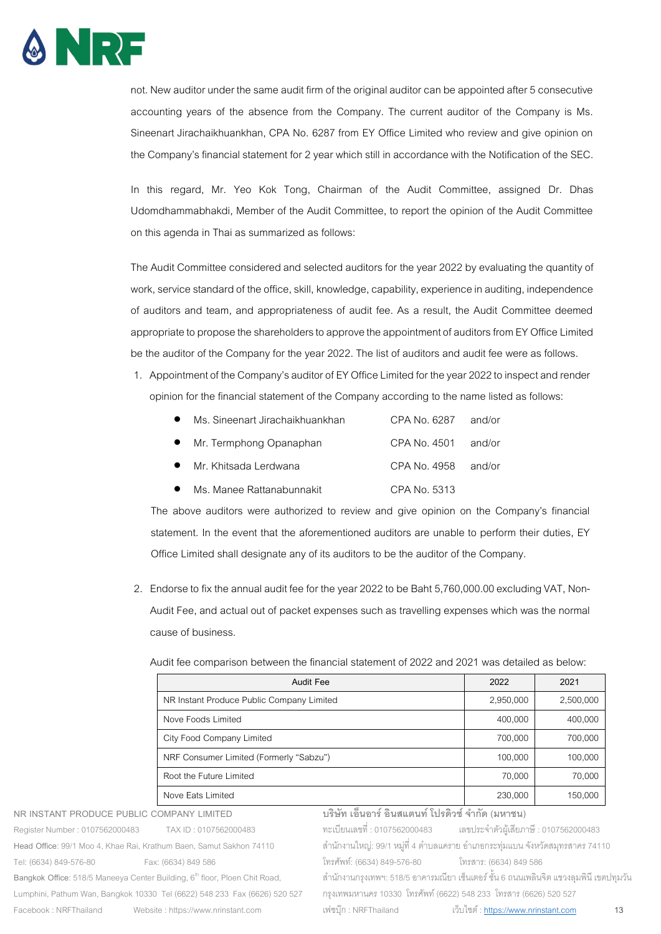

not. New auditor under the same audit firm of the original auditor can be appointed after 5 consecutive accounting years of the absence from the Company. The current auditor of the Company is Ms. Sineenart Jirachaikhuankhan, CPA No. 6287 from EY Office Limited who review and give opinion on the Company's financial statement for 2 year which still in accordance with the Notification of the SEC.

In this regard, Mr. Yeo Kok Tong, Chairman of the Audit Committee, assigned Dr. Dhas Udomdhammabhakdi, Member of the Audit Committee, to report the opinion of the Audit Committee on this agenda in Thai as summarized as follows:

The Audit Committee considered and selected auditors for the year 2022 by evaluating the quantity of work, service standard of the office, skill, knowledge, capability, experience in auditing, independence of auditors and team, and appropriateness of audit fee. As a result, the Audit Committee deemed appropriate to propose the shareholders to approve the appointment of auditors from EY Office Limited be the auditor of the Company for the year 2022. The list of auditors and audit fee were as follows.

1. Appointment of the Company's auditor of EY Office Limited for the year 2022 to inspect and render opinion for the financial statement of the Company according to the name listed as follows:

| Ms. Sineenart Jirachaikhuankhan | CPA No. 6287          | and/or |
|---------------------------------|-----------------------|--------|
| • Mr. Termphong Opanaphan       | CPA No. $4501$ and/or |        |
| Mr. Khitsada Lerdwana           | $CPA$ No. 4958 and/or |        |

Ms. Manee Rattanabunnakit CPA No. 5313

The above auditors were authorized to review and give opinion on the Company's financial statement. In the event that the aforementioned auditors are unable to perform their duties, EY Office Limited shall designate any of its auditors to be the auditor of the Company.

2. Endorse to fix the annual audit fee for the year 2022 to be Baht 5,760,000.00 excluding VAT, Non-Audit Fee, and actual out of packet expenses such as travelling expenses which was the normal cause of business.

Audit fee comparison between the financial statement of 2022 and 2021 was detailed as below:

| <b>Audit Fee</b>                          | 2022      | 2021      |
|-------------------------------------------|-----------|-----------|
| NR Instant Produce Public Company Limited | 2,950,000 | 2,500,000 |
| Nove Foods Limited                        | 400,000   | 400,000   |
| City Food Company Limited                 | 700,000   | 700,000   |
| NRF Consumer Limited (Formerly "Sabzu")   | 100,000   | 100,000   |
| Root the Future Limited                   | 70,000    | 70,000    |
| Nove Eats Limited                         | 230,000   | 150,000   |

**NR INSTANT PRODUCE PUBLIC COMPANY LIMITED**  Register Number : 0107562000483 TAX ID : 0107562000483 **Head Office**: 99/1 Moo 4, Khae Rai, Krathum Baen, Samut Sakhon 74110 Tel: (6634) 849-576-80 Fax: (6634) 849 586 Bangkok Office: 518/5 Maneeya Center Building, 6<sup>th</sup> floor, Ploen Chit Road, Lumphini, Pathum Wan, Bangkok 10330 Tel (6622) 548 233 Fax (6626) 520 527 Facebook : NRFThailand Website : https://www.nrinstant.com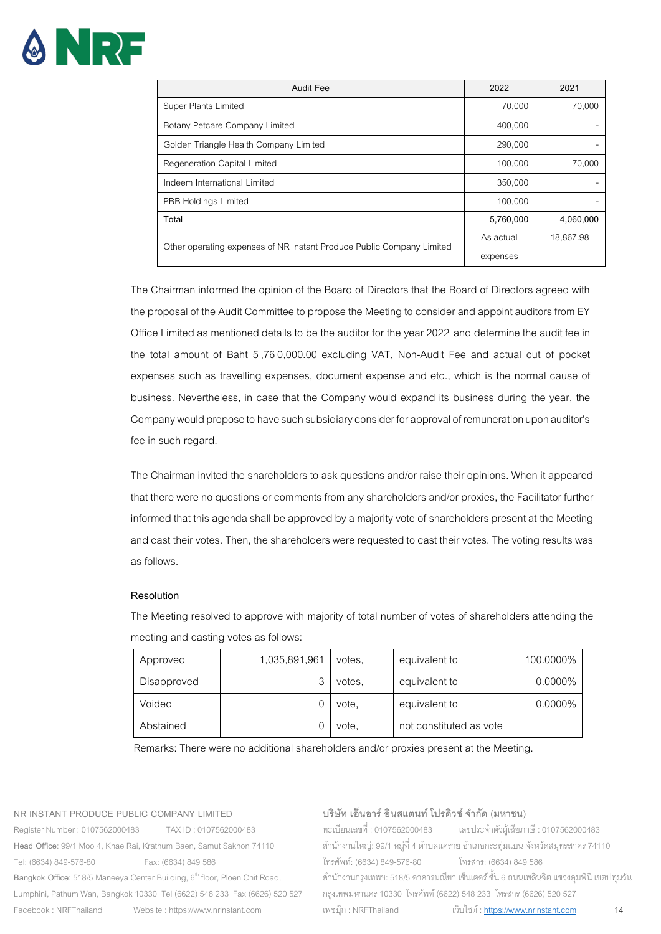# ANR-

| Audit Fee                                                             | 2022      | 2021      |
|-----------------------------------------------------------------------|-----------|-----------|
| Super Plants Limited                                                  | 70,000    | 70,000    |
| Botany Petcare Company Limited                                        | 400,000   |           |
| Golden Triangle Health Company Limited                                | 290,000   |           |
| Regeneration Capital Limited                                          | 100,000   | 70,000    |
| Indeem International Limited                                          | 350,000   |           |
| PBB Holdings Limited                                                  | 100.000   |           |
| Total                                                                 | 5,760,000 | 4,060,000 |
| Other operating expenses of NR Instant Produce Public Company Limited | As actual | 18,867.98 |
|                                                                       | expenses  |           |

The Chairman informed the opinion of the Board of Directors that the Board of Directors agreed with the proposal of the Audit Committee to propose the Meeting to consider and appoint auditors from EY Office Limited as mentioned details to be the auditor for the year 2022 and determine the audit fee in the total amount of Baht 5,760,000.00 excluding VAT, Non-Audit Fee and actual out of pocket expenses such as travelling expenses, document expense and etc., which is the normal cause of business. Nevertheless, in case that the Company would expand its business during the year, the Company would propose to have such subsidiary consider for approval of remuneration upon auditor's fee in such regard.

The Chairman invited the shareholders to ask questions and/or raise their opinions. When it appeared that there were no questions or comments from any shareholders and/or proxies, the Facilitator further informed that this agenda shall be approved by a majority vote of shareholders present at the Meeting and cast their votes. Then, the shareholders were requested to cast their votes. The voting results was as follows.

# **Resolution**

The Meeting resolved to approve with majority of total number of votes of shareholders attending the meeting and casting votes as follows:

| Approved    | 1,035,891,961 | votes. | equivalent to           | 100.0000% |
|-------------|---------------|--------|-------------------------|-----------|
| Disapproved |               | votes. | equivalent to           | 0.0000%   |
| Voided      |               | vote,  | equivalent to           | 0.0000%   |
| Abstained   |               | vote.  | not constituted as vote |           |

Remarks: There were no additional shareholders and/or proxies present at the Meeting.

#### **NR INSTANT PRODUCE PUBLIC COMPANY LIMITED**

Register Number : 0107562000483 TAX ID : 0107562000483 **Head Office**: 99/1 Moo 4, Khae Rai, Krathum Baen, Samut Sakhon 74110 Tel: (6634) 849-576-80 Fax: (6634) 849 586 Bangkok Office: 518/5 Maneeya Center Building, 6<sup>th</sup> floor, Ploen Chit Road, Lumphini, Pathum Wan, Bangkok 10330 Tel (6622) 548 233 Fax (6626) 520 527 Facebook : NRFThailand Website : https://www.nrinstant.com

## **บริษัท เอ็นอาร์อินสแตนท์โปรดิวซ์จํากัด (มหาชน)**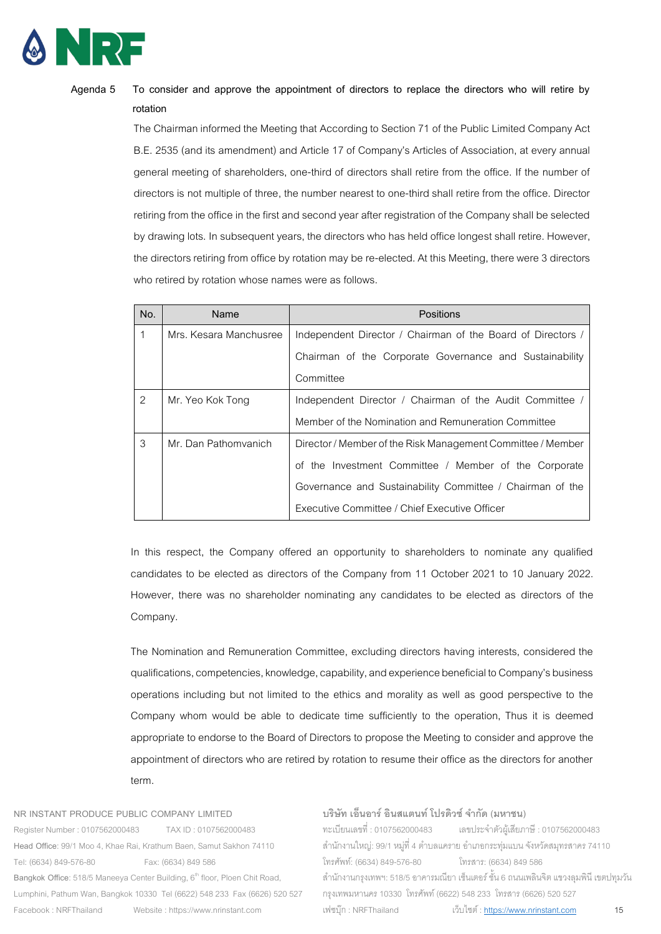

# **Agenda 5 To consider and approve the appointment of directors to replace the directors who will retire by rotation**

The Chairman informed the Meeting that According to Section 71 of the Public Limited Company Act B.E. 2535 (and its amendment) and Article 17of Company's Articles of Association, at every annual general meeting of shareholders, one-third of directors shall retire from the office. If the number of directors is not multiple of three, the number nearest to one-third shall retire from the office. Director retiring from the office in the first and second year after registration of the Company shall be selected by drawing lots. In subsequent years, the directors who has held office longest shall retire. However, the directors retiring from office by rotation may be re-elected. At this Meeting, there were 3 directors who retired by rotation whose names were as follows.

| No. | Name                   | Positions                                                   |  |  |
|-----|------------------------|-------------------------------------------------------------|--|--|
| 1   | Mrs. Kesara Manchusree | Independent Director / Chairman of the Board of Directors / |  |  |
|     |                        | Chairman of the Corporate Governance and Sustainability     |  |  |
|     |                        | Committee                                                   |  |  |
| 2   | Mr. Yeo Kok Tong       | Independent Director / Chairman of the Audit Committee /    |  |  |
|     |                        | Member of the Nomination and Remuneration Committee         |  |  |
| 3   | Mr. Dan Pathomyanich   | Director / Member of the Risk Management Committee / Member |  |  |
|     |                        | of the Investment Committee / Member of the Corporate       |  |  |
|     |                        | Governance and Sustainability Committee / Chairman of the   |  |  |
|     |                        | Executive Committee / Chief Executive Officer               |  |  |

In this respect, the Company offered an opportunity to shareholders to nominate any qualified candidates to be elected as directors of the Company from 11 October 2021 to 10 January 2022. However, there was no shareholder nominating any candidates to be elected as directors of the Company.

The Nomination and Remuneration Committee, excluding directors having interests, considered the qualifications, competencies, knowledge, capability, and experience beneficial to Company's business operations including but not limited to the ethics and morality as well as good perspective to the Company whom would be able to dedicate time sufficiently to the operation, Thus it is deemed appropriate to endorse to the Board of Directors to propose the Meeting to consider and approve the appointment of directors who are retired by rotation to resume their office as the directors for another term.

**NR INSTANT PRODUCE PUBLIC COMPANY LIMITED** 

Register Number : 0107562000483 TAX ID : 0107562000483 **Head Office**: 99/1 Moo 4, Khae Rai, Krathum Baen, Samut Sakhon 74110 Tel: (6634) 849-576-80 Fax: (6634) 849 586 Bangkok Office: 518/5 Maneeya Center Building, 6<sup>th</sup> floor, Ploen Chit Road, Lumphini, Pathum Wan, Bangkok 10330 Tel (6622) 548 233 Fax (6626) 520 527 Facebook : NRFThailand Website : https://www.nrinstant.com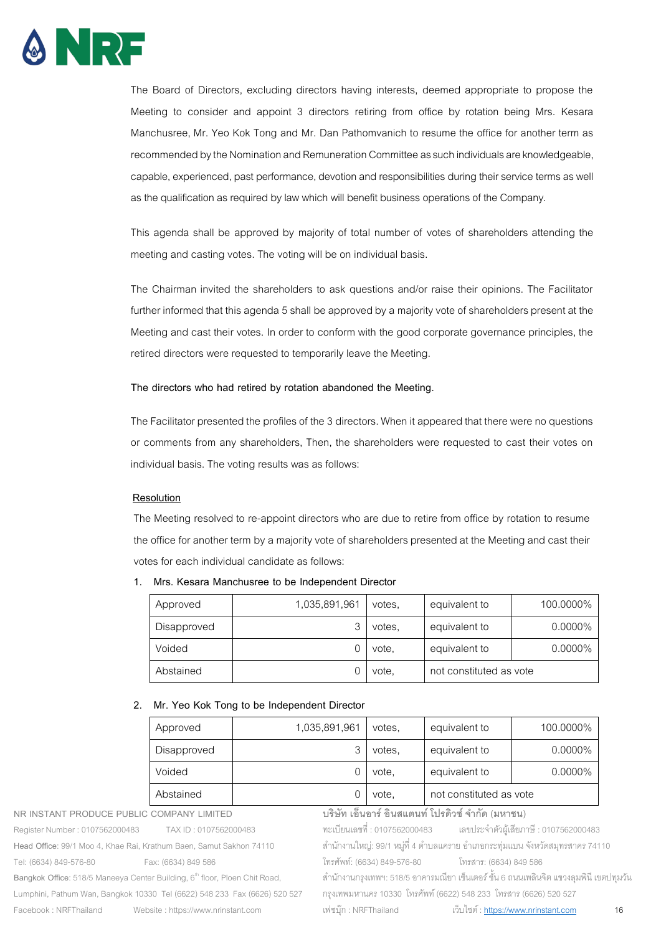

The Board of Directors, excluding directors having interests, deemed appropriate to propose the Meeting to consider and appoint 3 directors retiring from office by rotation being Mrs. Kesara Manchusree, Mr. Yeo Kok Tong and Mr. Dan Pathomvanich to resume the office for another term as recommended by the Nomination and Remuneration Committee as such individuals are knowledgeable, capable, experienced, past performance, devotion and responsibilities during their service terms as well as the qualification as required by law which will benefit business operations of the Company.

This agenda shall be approved by majority of total number of votes of shareholders attending the meeting and casting votes. The voting will be on individual basis.

The Chairman invited the shareholders to ask questions and/or raise their opinions. The Facilitator further informed that this agenda 5 shall be approved by a majority vote of shareholders present at the Meeting and cast their votes. In order to conform with the good corporate governance principles, the retired directors were requested to temporarily leave the Meeting.

# **The directors who had retired by rotation abandoned the Meeting.**

The Facilitator presented the profiles of the 3 directors. When it appeared that there were no questions or comments from any shareholders, Then, the shareholders were requested to cast their votes on individual basis. The voting results was as follows:

# **Resolution**

The Meeting resolved to re-appoint directors who are due to retire from office by rotation to resume the office for another term by a majority vote of shareholders presented at the Meeting and cast their votes for each individual candidate as follows:

**1. Mrs. Kesara Manchusree to be Independent Director**

| Approved    | 1,035,891,961 | votes. | equivalent to           | 100.0000%  |
|-------------|---------------|--------|-------------------------|------------|
| Disapproved |               | votes. | equivalent to           | $0.0000\%$ |
| Voided      |               | vote,  | equivalent to           | $0.0000\%$ |
| Abstained   |               | vote.  | not constituted as vote |            |

# **2. Mr. Yeo Kok Tong to be Independent Director**

| Approved    | 1,035,891,961 | votes. | equivalent to           | 100.0000%  |
|-------------|---------------|--------|-------------------------|------------|
| Disapproved | հ             | votes. | equivalent to           | $0.0000\%$ |
| Voided      |               | vote.  | equivalent to           | 0.0000%    |
| Abstained   |               | vote,  | not constituted as vote |            |

**NR INSTANT PRODUCE PUBLIC COMPANY LIMITED**  Register Number : 0107562000483 TAX ID : 0107562000483 **Head Office**: 99/1 Moo 4, Khae Rai, Krathum Baen, Samut Sakhon 74110 Tel: (6634) 849-576-80 Fax: (6634) 849 586 Bangkok Office: 518/5 Maneeya Center Building, 6<sup>th</sup> floor, Ploen Chit Road, Lumphini, Pathum Wan, Bangkok 10330 Tel (6622) 548 233 Fax (6626) 520 527 Facebook : NRFThailand Website : https://www.nrinstant.com **บริษัท เอ็นอาร์อินสแตนท์โปรดิวซ์จํากัด (มหาชน)** ทะเบียนเลขที่ : 0107562000483 เลขประจ ำตัวผู้เสียภำษี : 0107562000483 สำนักงานใหญ่: 99/1 หมู่ที่ 4 ตำบลแคราย อำเภอกระทุ่มแบน จังหวัดสมุทรสาคร 74110 โทรศัพท์: (6634) 849-576-80 โทรสำร: (6634) 849 586 ส ำนักงำนกรุงเทพฯ: 518/5อำคำรมณียำ เซ็นเตอร์ ชั้น 6 ถนนเพลินจิต แขวงลุมพินี เขตปทุมวัน กรุงเทพมหำนคร 10330 โทรศัพท์(6622) 548 233 โทรสำร (6626) 520 527 เฟซบุ๊ก : NRFThailand เว็บไซต์[: https://www.nrinstant.com](https://www.nrinstant.com/) 16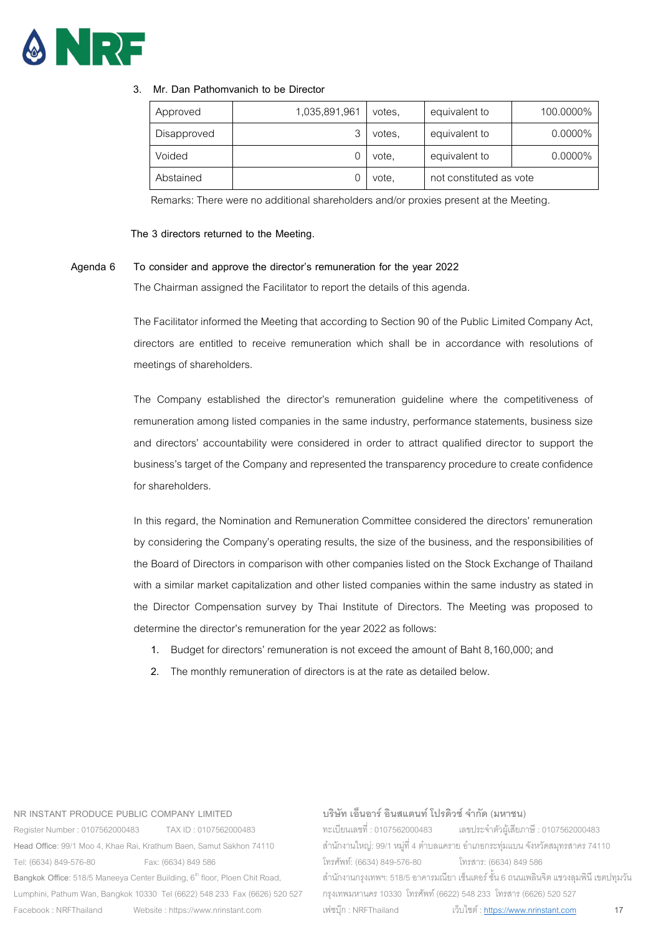

# **3. Mr. Dan Pathomvanich to be Director**

| Approved    | 1,035,891,961 | votes. | equivalent to           | 100.0000%  |
|-------------|---------------|--------|-------------------------|------------|
| Disapproved |               | votes. | equivalent to           | $0.0000\%$ |
| Voided      |               | vote.  | equivalent to           | $0.0000\%$ |
| Abstained   |               | vote,  | not constituted as vote |            |

Remarks: There were no additional shareholders and/or proxies present at the Meeting.

# **The 3 directors returned to the Meeting.**

#### **Agenda 6 To consider and approve the director's remuneration for the year 2022**

The Chairman assigned the Facilitator to report the details of this agenda.

The Facilitator informed the Meeting that according to Section 90 of the Public Limited Company Act, directors are entitled to receive remuneration which shall be in accordance with resolutions of meetings of shareholders.

The Company established the director's remuneration guideline where the competitiveness of remuneration among listed companies in the same industry, performance statements, business size and directors' accountability were considered in order to attract qualified director to support the business's target of the Companyand represented the transparency procedure to create confidence for shareholders.

In this regard, the Nomination and Remuneration Committee considered the directors' remuneration by considering the Company's operating results, the size of the business, and the responsibilities of the Board of Directors in comparison with other companies listed on the Stock Exchange of Thailand with a similar market capitalization and other listed companies within the same industry as stated in the Director Compensation survey by Thai Institute of Directors. The Meeting was proposed to determine the director's remuneration for the year 2022 as follows:

- 1. Budget for directors' remuneration is not exceed the amount of Baht 8,160,000; and
- 2. The monthly remuneration of directors is at the rate as detailed below.

#### **NR INSTANT PRODUCE PUBLIC COMPANY LIMITED**

Register Number : 0107562000483 TAX ID : 0107562000483 **Head Office**: 99/1 Moo 4, Khae Rai, Krathum Baen, Samut Sakhon 74110 Tel: (6634) 849-576-80 Fax: (6634) 849 586 Bangkok Office: 518/5 Maneeya Center Building, 6<sup>th</sup> floor, Ploen Chit Road, Lumphini, Pathum Wan, Bangkok 10330 Tel (6622) 548 233 Fax (6626) 520 527 Facebook : NRFThailand Website : https://www.nrinstant.com

# **บริษัท เอ็นอาร์อินสแตนท์โปรดิวซ์จํากัด (มหาชน)**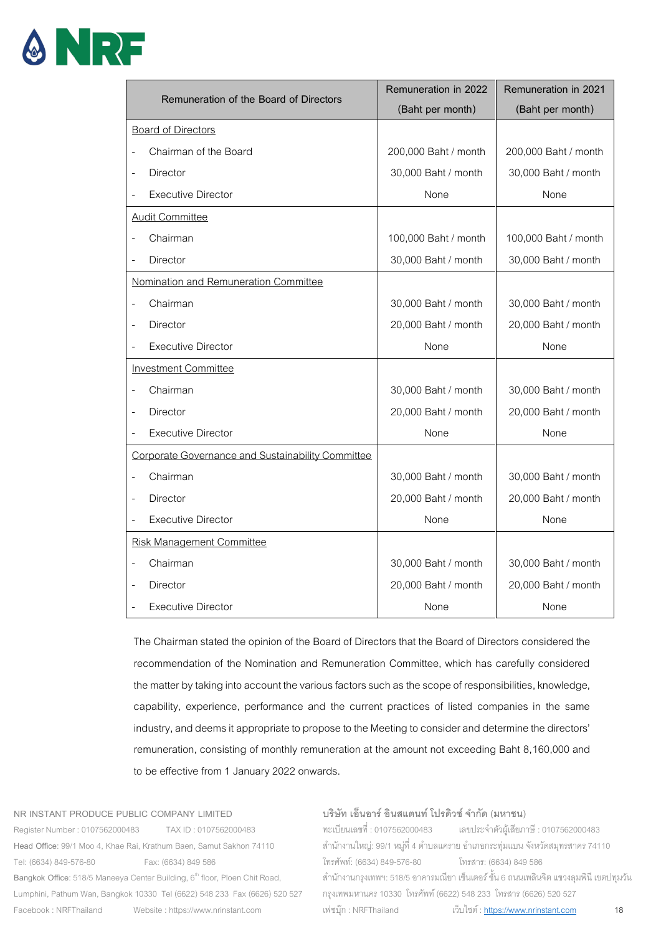

| Remuneration of the Board of Directors            | Remuneration in 2022 | Remuneration in 2021 |
|---------------------------------------------------|----------------------|----------------------|
|                                                   | (Baht per month)     | (Baht per month)     |
| <b>Board of Directors</b>                         |                      |                      |
| Chairman of the Board                             | 200,000 Baht / month | 200,000 Baht / month |
| Director<br>L,                                    | 30,000 Baht / month  | 30,000 Baht / month  |
| <b>Executive Director</b>                         | None                 | None                 |
| <b>Audit Committee</b>                            |                      |                      |
| Chairman                                          | 100,000 Baht / month | 100,000 Baht / month |
| Director                                          | 30,000 Baht / month  | 30,000 Baht / month  |
| Nomination and Remuneration Committee             |                      |                      |
| Chairman                                          | 30,000 Baht / month  | 30,000 Baht / month  |
| Director<br>$\overline{a}$                        | 20,000 Baht / month  | 20,000 Baht / month  |
| <b>Executive Director</b>                         | None                 | None                 |
| <b>Investment Committee</b>                       |                      |                      |
| Chairman                                          | 30,000 Baht / month  | 30,000 Baht / month  |
| <b>Director</b><br>$\overline{a}$                 | 20,000 Baht / month  | 20,000 Baht / month  |
| <b>Executive Director</b>                         | None                 | None                 |
| Corporate Governance and Sustainability Committee |                      |                      |
| Chairman                                          | 30,000 Baht / month  | 30,000 Baht / month  |
| Director                                          | 20,000 Baht / month  | 20,000 Baht / month  |
| <b>Executive Director</b>                         | None                 | None                 |
| <b>Risk Management Committee</b>                  |                      |                      |
| Chairman                                          | 30,000 Baht / month  | 30,000 Baht / month  |
| Director<br>L,                                    | 20,000 Baht / month  | 20,000 Baht / month  |
| <b>Executive Director</b>                         | None                 | None                 |

The Chairman stated the opinion of the Board of Directors that the Board of Directors considered the recommendation of the Nomination and Remuneration Committee, which has carefully considered the matter by taking into account the various factors such as the scope of responsibilities, knowledge, capability, experience, performance and the current practices of listed companies in the same industry, and deems it appropriate to propose to the Meeting to consider and determine the directors' remuneration, consisting of monthly remuneration at the amount not exceeding Baht 8,160,000 and to be effective from 1 January 2022 onwards.

**NR INSTANT PRODUCE PUBLIC COMPANY LIMITED**  Register Number : 0107562000483 TAX ID : 0107562000483

**Head Office**: 99/1 Moo 4, Khae Rai, Krathum Baen, Samut Sakhon 74110 Tel: (6634) 849-576-80 Fax: (6634) 849 586 Bangkok Office: 518/5 Maneeya Center Building, 6<sup>th</sup> floor, Ploen Chit Road, Lumphini, Pathum Wan, Bangkok 10330 Tel (6622) 548 233 Fax (6626) 520 527 Facebook : NRFThailand Website : https://www.nrinstant.com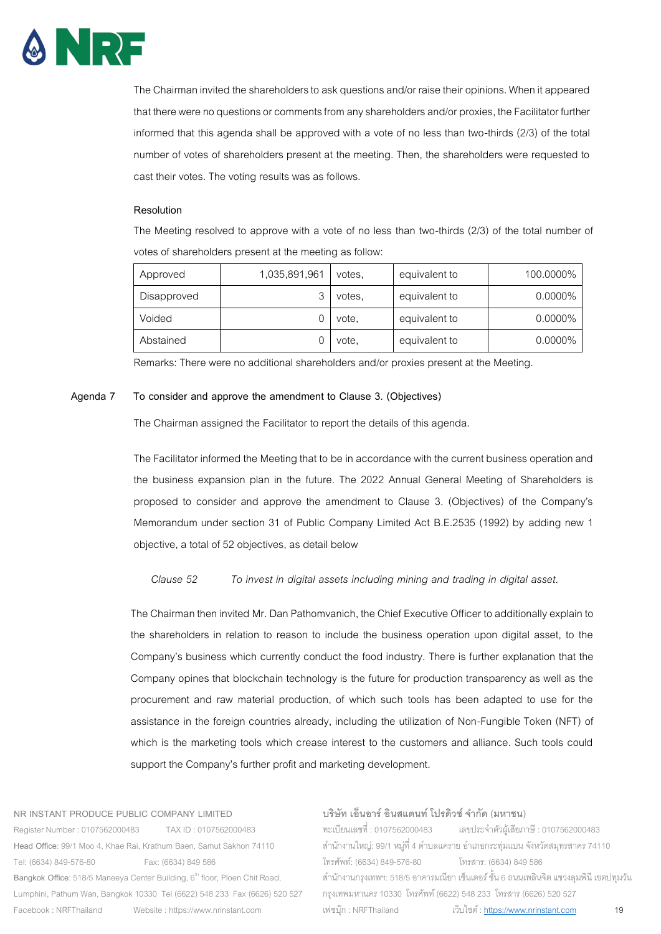

The Chairman invited the shareholders to ask questions and/or raise their opinions. When it appeared that there were no questions or comments from any shareholders and/or proxies, the Facilitator further informed that this agenda shall be approved with a vote of no less than two-thirds (2/3) of the total number of votes of shareholders present at the meeting. Then, the shareholders were requested to cast their votes. The voting results was as follows.

#### **Resolution**

The Meeting resolved to approve with a vote of no less than two-thirds (2/3) of the total number of votes of shareholders present at the meeting as follow:

| Approved    | 1,035,891,961 | votes, | equivalent to | 100.0000%  |
|-------------|---------------|--------|---------------|------------|
| Disapproved |               | votes. | equivalent to | $0.0000\%$ |
| Voided      |               | vote,  | equivalent to | 0.0000%    |
| Abstained   |               | vote.  | equivalent to | $0.0000\%$ |

Remarks: There were no additional shareholders and/or proxies present at the Meeting.

# **Agenda 7 To consider and approve the amendment to Clause 3. (Objectives)**

The Chairman assigned the Facilitator to report the details of this agenda.

The Facilitator informed the Meeting that to be in accordance with the current business operation and the business expansion plan in the future. The 2022 Annual General Meeting of Shareholders is proposed to consider and approve the amendment to Clause 3. (Objectives) of the Company's Memorandum under section 31 of Public Company Limited Act B.E.2535 (1992) by adding new 1 objective, a total of 52objectives, as detail below

# *Clause 52 To invest in digital assets including mining and trading in digital asset.*

The Chairman then invited Mr. Dan Pathomvanich, the Chief Executive Officer to additionally explain to the shareholders in relation to reason to include the business operation upon digital asset, to the Company's business which currently conduct the food industry. There is further explanation that the Company opines that blockchain technology is the future for production transparency as well as the procurement and raw material production, of which such tools has been adapted to use for the assistance in the foreign countries already, including the utilization of Non-Fungible Token (NFT) of which is the marketing tools which crease interest to the customers and alliance. Such tools could support the Company's further profit and marketing development.

#### **NR INSTANT PRODUCE PUBLIC COMPANY LIMITED**

Register Number : 0107562000483 TAX ID : 0107562000483 **Head Office**: 99/1 Moo 4, Khae Rai, Krathum Baen, Samut Sakhon 74110 Tel: (6634) 849-576-80 Fax: (6634) 849 586 Bangkok Office: 518/5 Maneeya Center Building, 6<sup>th</sup> floor, Ploen Chit Road, Lumphini, Pathum Wan, Bangkok 10330 Tel (6622) 548 233 Fax (6626) 520 527 Facebook : NRFThailand Website : https://www.nrinstant.com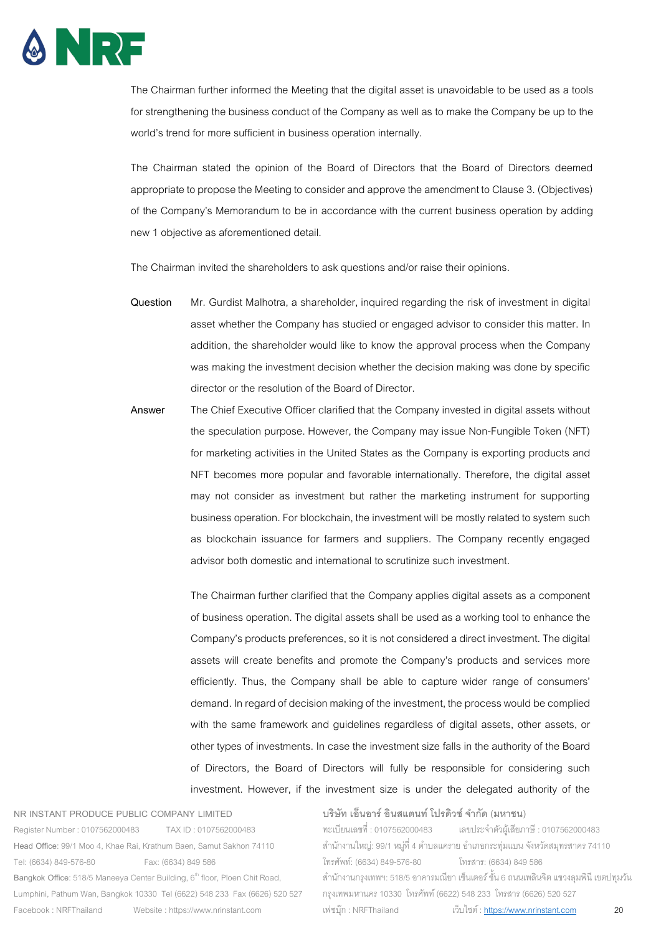

The Chairman further informed the Meeting that the digital asset is unavoidable to be used as a tools for strengthening the business conduct of the Company as well as to make the Company be up to the world's trend for more sufficient in business operation internally.

The Chairman stated the opinion of the Board of Directors that the Board of Directors deemed appropriate to propose the Meeting to consider and approve the amendment to Clause 3. (Objectives) of the Company's Memorandum to be in accordance with the current business operation by adding new 1 objective as aforementioned detail.

The Chairman invited the shareholders to ask questions and/or raise their opinions.

- **Question** Mr. Gurdist Malhotra, a shareholder, inquired regarding the risk of investment in digital asset whether the Company has studied or engaged advisor to consider this matter. In addition, the shareholder would like to know the approval process when the Company was making the investment decision whether the decision making was done by specific director or the resolution of the Board of Director.
- **Answer** The Chief Executive Officer clarified that the Company invested in digital assets without the speculation purpose. However, the Company may issue Non-Fungible Token (NFT) for marketing activities in the United States as the Company is exporting products and NFT becomes more popular and favorable internationally. Therefore, the digital asset may not consider as investment but rather the marketing instrument for supporting business operation. For blockchain, the investment will be mostly related to system such as blockchain issuance for farmers and suppliers. The Company recently engaged advisor both domestic and international to scrutinize such investment.

The Chairman further clarified that the Company applies digital assets as a component of business operation. The digital assets shall be used as a working tool to enhance the Company's products preferences, so it is not considered a direct investment. The digital assets will create benefits and promote the Company's products and services more efficiently. Thus, the Company shall be able to capture wider range of consumers' demand. In regard of decision making of the investment, the process would be complied with the same framework and guidelines regardless of digital assets, other assets, or other types of investments. In case the investment size falls in the authority of the Board of Directors, the Board of Directors will fully be responsible for considering such investment. However, if the investment size is under the delegated authority of the

#### **NR INSTANT PRODUCE PUBLIC COMPANY LIMITED**

Register Number : 0107562000483 TAX ID : 0107562000483 **Head Office**: 99/1 Moo 4, Khae Rai, Krathum Baen, Samut Sakhon 74110 Tel: (6634) 849-576-80 Fax: (6634) 849 586 Bangkok Office: 518/5 Maneeya Center Building, 6<sup>th</sup> floor, Ploen Chit Road, Lumphini, Pathum Wan, Bangkok 10330 Tel (6622) 548 233 Fax (6626) 520 527 Facebook : NRFThailand Website : https://www.nrinstant.com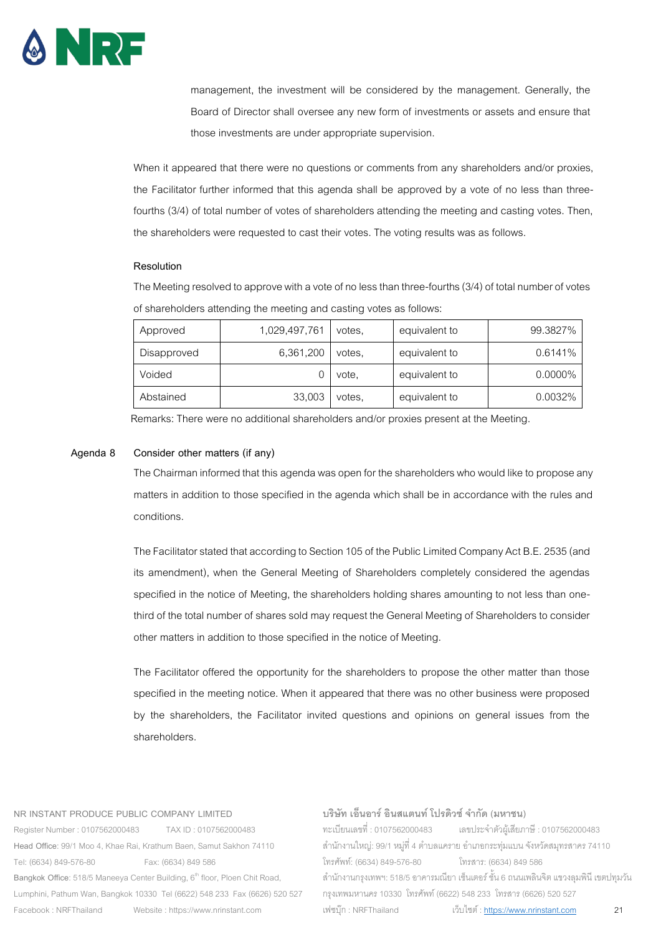

management, the investment will be considered by the management. Generally, the Board of Director shall oversee any new form of investments or assets and ensure that those investments are under appropriate supervision.

When it appeared that there were no questions or comments from any shareholders and/or proxies, the Facilitator further informed that this agenda shall be approved by a vote of no less than threefourths (3/4) of total number of votes of shareholders attending the meeting and casting votes. Then, the shareholders were requested to cast their votes. The voting results was as follows.

#### **Resolution**

The Meeting resolved to approve with a vote of no less than three-fourths (3/4) of total number of votes of shareholders attending the meeting and casting votes as follows:

| Approved    | 1,029,497,761 | votes. | equivalent to | 99.3827% |
|-------------|---------------|--------|---------------|----------|
| Disapproved | 6,361,200     | votes. | equivalent to | 0.6141%  |
| Voided      |               | vote.  | equivalent to | 0.0000%  |
| Abstained   | 33,003        | votes. | equivalent to | 0.0032%  |

Remarks: There were no additional shareholders and/or proxies present at the Meeting.

#### **Agenda 8 Consider other matters (if any)**

The Chairman informed that this agenda was open for the shareholders who would like to propose any matters in addition to those specified in the agenda which shall be in accordance with the rules and conditions.

The Facilitator stated that according to Section 105 of the Public Limited Company Act B.E. 2535 (and its amendment), when the General Meeting of Shareholders completely considered the agendas specified in the notice of Meeting, the shareholders holding shares amounting to not less than onethird of the total number of shares sold may request the General Meeting of Shareholders to consider other matters in addition to those specified in the notice of Meeting.

The Facilitator offered the opportunity for the shareholders to propose the other matter than those specified in the meeting notice. When it appeared that there was no other business were proposed by the shareholders, the Facilitator invited questions and opinions on general issues from the shareholders.

#### **NR INSTANT PRODUCE PUBLIC COMPANY LIMITED**

Register Number : 0107562000483 TAX ID : 0107562000483 **Head Office**: 99/1 Moo 4, Khae Rai, Krathum Baen, Samut Sakhon 74110 Tel: (6634) 849-576-80 Fax: (6634) 849 586 Bangkok Office: 518/5 Maneeya Center Building, 6<sup>th</sup> floor, Ploen Chit Road, Lumphini, Pathum Wan, Bangkok 10330 Tel (6622) 548 233 Fax (6626) 520 527 Facebook : NRFThailand Website : https://www.nrinstant.com

# **บริษัท เอ็นอาร์อินสแตนท์โปรดิวซ์จํากัด (มหาชน)**